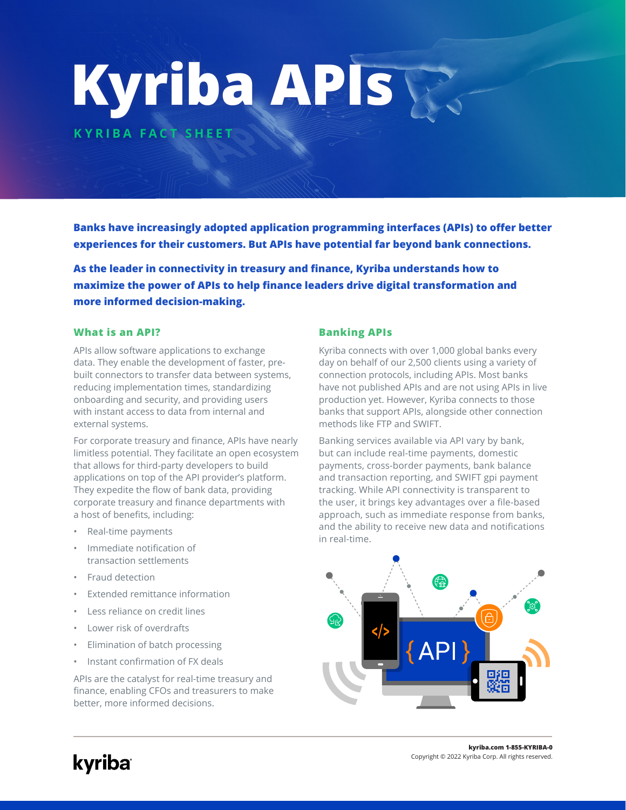# **Kyriba APIs**

**KYRIBA FACT SHEET**

**Banks have increasingly adopted application programming interfaces (APIs) to offer better experiences for their customers. But APIs have potential far beyond bank connections.** 

**As the leader in connectivity in treasury and finance, Kyriba understands how to maximize the power of APIs to help finance leaders drive digital transformation and more informed decision-making.** 

## **What is an API? Banking APIs**

APIs allow software applications to exchange data. They enable the development of faster, prebuilt connectors to transfer data between systems, reducing implementation times, standardizing onboarding and security, and providing users with instant access to data from internal and external systems.

For corporate treasury and finance, APIs have nearly limitless potential. They facilitate an open ecosystem that allows for third-party developers to build applications on top of the API provider's platform. They expedite the flow of bank data, providing corporate treasury and finance departments with a host of benefits, including:

- Real-time payments
- Immediate notification of transaction settlements
- Fraud detection
- Extended remittance information
- Less reliance on credit lines
- Lower risk of overdrafts
- Elimination of batch processing
- Instant confirmation of FX deals

APIs are the catalyst for real-time treasury and finance, enabling CFOs and treasurers to make better, more informed decisions.

Kyriba connects with over 1,000 global banks every day on behalf of our 2,500 clients using a variety of connection protocols, including APIs. Most banks have not published APIs and are not using APIs in live production yet. However, Kyriba connects to those banks that support APIs, alongside other connection methods like FTP and SWIFT.

Banking services available via API vary by bank, but can include real-time payments, domestic payments, cross-border payments, bank balance and transaction reporting, and SWIFT gpi payment tracking. While API connectivity is transparent to the user, it brings key advantages over a file-based approach, such as immediate response from banks, and the ability to receive new data and notifications in real-time.

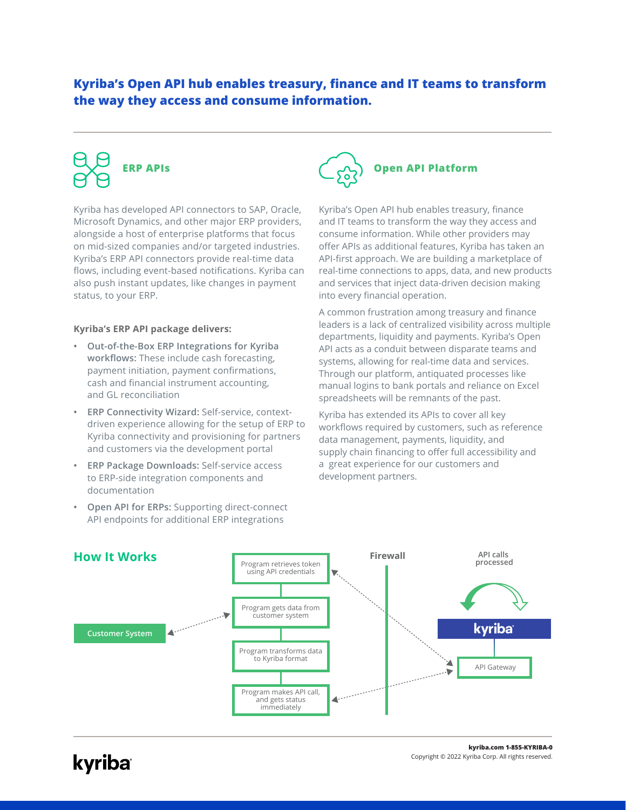# **Kyriba's Open API hub enables treasury, finance and IT teams to transform the way they access and consume information.**

Kyriba has developed API connectors to SAP, Oracle, Microsoft Dynamics, and other major ERP providers, alongside a host of enterprise platforms that focus on mid-sized companies and/or targeted industries. Kyriba's ERP API connectors provide real-time data flows, including event-based notifications. Kyriba can also push instant updates, like changes in payment status, to your ERP.

## **Kyriba's ERP API package delivers:**

- **• Out-of-the-Box ERP Integrations for Kyriba workflows:** These include cash forecasting, payment initiation, payment confirmations, cash and financial instrument accounting, and GL reconciliation
- **• ERP Connectivity Wizard:** Self-service, contextdriven experience allowing for the setup of ERP to Kyriba connectivity and provisioning for partners and customers via the development portal
- **• ERP Package Downloads:** Self-service access to ERP-side integration components and documentation
- **• Open API for ERPs:** Supporting direct-connect API endpoints for additional ERP integrations



Kyriba's Open API hub enables treasury, finance and IT teams to transform the way they access and consume information. While other providers may offer APIs as additional features, Kyriba has taken an API-first approach. We are building a marketplace of real-time connections to apps, data, and new products and services that inject data-driven decision making into every financial operation.

A common frustration among treasury and finance leaders is a lack of centralized visibility across multiple departments, liquidity and payments. Kyriba's Open API acts as a conduit between disparate teams and systems, allowing for real-time data and services. Through our platform, antiquated processes like manual logins to bank portals and reliance on Excel spreadsheets will be remnants of the past.

Kyriba has extended its APIs to cover all key workflows required by customers, such as reference data management, payments, liquidity, and supply chain financing to offer full accessibility and a great experience for our customers and development partners.



kyriba